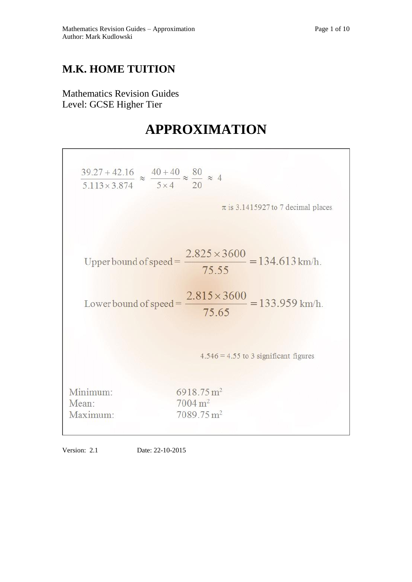# **M.K. HOME TUITION**

Mathematics Revision Guides Level: GCSE Higher Tier

# **APPROXIMATION**

| $\frac{39.27 + 42.16}{5.113 \times 3.874} \approx \frac{40 + 40}{5 \times 4} \approx \frac{80}{20} \approx 4$ |                                                                          |
|---------------------------------------------------------------------------------------------------------------|--------------------------------------------------------------------------|
|                                                                                                               | $\pi$ is 3.1415927 to 7 decimal places                                   |
|                                                                                                               | Upper bound of speed = $\frac{2.825 \times 3600}{75.55}$ = 134.613 km/h. |
|                                                                                                               | Lower bound of speed = $\frac{2.815 \times 3600}{75.65}$ = 133.959 km/h. |
|                                                                                                               | $4.546 = 4.55$ to 3 significant figures                                  |
| Minimum:                                                                                                      | $6918.75 \text{ m}^2$                                                    |
| Mean:                                                                                                         | $7004 \,\mathrm{m}^2$                                                    |
| Maximum:                                                                                                      | $7089.75 \text{ m}^2$                                                    |

Version: 2.1 Date: 22-10-2015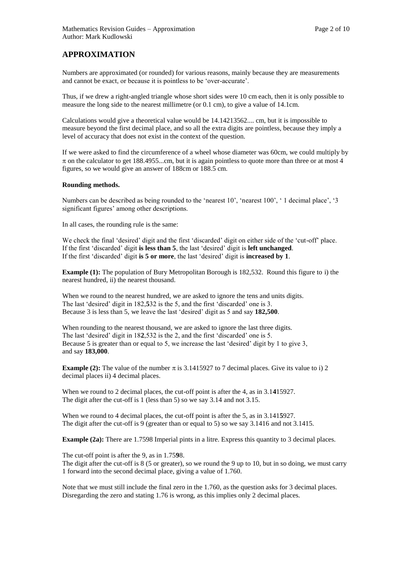# **APPROXIMATION**

Numbers are approximated (or rounded) for various reasons, mainly because they are measurements and cannot be exact, or because it is pointless to be 'over-accurate'.

Thus, if we drew a right-angled triangle whose short sides were 10 cm each, then it is only possible to measure the long side to the nearest millimetre (or 0.1 cm), to give a value of 14.1cm.

Calculations would give a theoretical value would be 14.14213562.... cm, but it is impossible to measure beyond the first decimal place, and so all the extra digits are pointless, because they imply a level of accuracy that does not exist in the context of the question.

If we were asked to find the circumference of a wheel whose diameter was 60cm, we could multiply by  $\pi$  on the calculator to get 188.4955...cm, but it is again pointless to quote more than three or at most 4 figures, so we would give an answer of 188cm or 188.5 cm.

## **Rounding methods.**

Numbers can be described as being rounded to the 'nearest 10', 'nearest 100', ' 1 decimal place', '3 significant figures' among other descriptions.

In all cases, the rounding rule is the same:

We check the final 'desired' digit and the first 'discarded' digit on either side of the 'cut-off' place. If the first 'discarded' digit **is less than 5**, the last 'desired' digit is **left unchanged**. If the first 'discarded' digit **is 5 or more**, the last 'desired' digit is **increased by 1**.

**Example (1):** The population of Bury Metropolitan Borough is 182,532. Round this figure to i) the nearest hundred, ii) the nearest thousand.

When we round to the nearest hundred, we are asked to ignore the tens and units digits. The last 'desired' digit in 182,**5**32 is the 5, and the first 'discarded' one is 3. Because 3 is less than 5, we leave the last 'desired' digit as 5 and say **182,500**.

When rounding to the nearest thousand, we are asked to ignore the last three digits. The last 'desired' digit in 18**2**,532 is the 2, and the first 'discarded' one is 5. Because 5 is greater than or equal to 5, we increase the last 'desired' digit by 1 to give 3, and say **183,000**.

**Example (2):** The value of the number  $\pi$  is 3.1415927 to 7 decimal places. Give its value to i) 2 decimal places ii) 4 decimal places.

When we round to 2 decimal places, the cut-off point is after the 4, as in 3.1**4**15927. The digit after the cut-off is 1 (less than 5) so we say 3.14 and not 3.15.

When we round to 4 decimal places, the cut-off point is after the 5, as in 3.141**5**927. The digit after the cut-off is 9 (greater than or equal to 5) so we say 3.1416 and not 3.1415.

**Example (2a):** There are 1.7598 Imperial pints in a litre. Express this quantity to 3 decimal places.

The cut-off point is after the 9, as in 1.75**9**8.

The digit after the cut-off is 8 (5 or greater), so we round the 9 up to 10, but in so doing, we must carry 1 forward into the second decimal place, giving a value of 1.760.

Note that we must still include the final zero in the 1.760, as the question asks for 3 decimal places. Disregarding the zero and stating 1.76 is wrong, as this implies only 2 decimal places.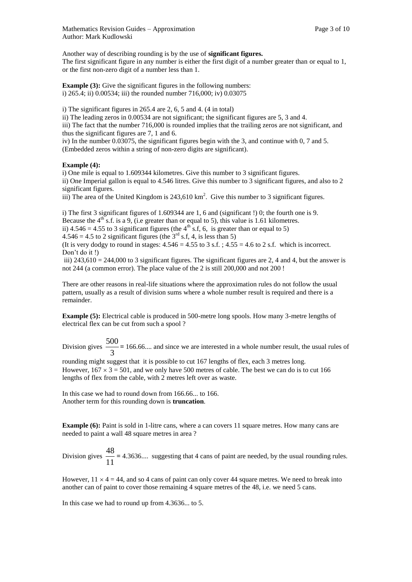Another way of describing rounding is by the use of **significant figures.**  The first significant figure in any number is either the first digit of a number greater than or equal to 1, or the first non-zero digit of a number less than 1.

**Example (3):** Give the significant figures in the following numbers: i) 265.4; ii) 0.00534; iii) the rounded number 716,000; iv) 0.03075

i) The significant figures in 265.4 are 2, 6, 5 and 4. (4 in total)

ii) The leading zeros in 0.00534 are not significant; the significant figures are 5, 3 and 4. iii) The fact that the number 716,000 is rounded implies that the trailing zeros are not significant, and thus the significant figures are 7, 1 and 6.

iv) In the number 0.03075, the significant figures begin with the 3, and continue with 0, 7 and 5. (Embedded zeros within a string of non-zero digits are significant).

# **Example (4):**

i) One mile is equal to 1.609344 kilometres. Give this number to 3 significant figures. ii) One Imperial gallon is equal to 4.546 litres. Give this number to 3 significant figures, and also to 2 significant figures.

iii) The area of the United Kingdom is  $243,610 \text{ km}^2$ . Give this number to 3 significant figures.

i) The first 3 significant figures of 1.609344 are 1, 6 and (significant !) 0; the fourth one is 9. Because the  $4<sup>th</sup>$  s.f. is a 9, (i.e greater than or equal to 5), this value is 1.61 kilometres. ii)  $4.546 = 4.55$  to 3 significant figures (the  $4<sup>th</sup>$  s.f, 6, is greater than or equal to 5)  $4.546 = 4.5$  to 2 significant figures (the  $3<sup>rd</sup>$  s.f, 4, is less than 5) (It is very dodgy to round in stages:  $4.546 = 4.55$  to  $3 \text{ s.f.}$ ;  $4.55 = 4.6$  to  $2 \text{ s.f.}$  which is incorrect. Don't do it !)

iii)  $243,610 = 244,000$  to 3 significant figures. The significant figures are 2, 4 and 4, but the answer is not 244 (a common error). The place value of the 2 is still 200,000 and not 200 !

There are other reasons in real-life situations where the approximation rules do not follow the usual pattern, usually as a result of division sums where a whole number result is required and there is a remainder.

**Example (5):** Electrical cable is produced in 500-metre long spools. How many 3-metre lengths of electrical flex can be cut from such a spool ?

Division gives  $\frac{56}{3}$ 500 **=** 166.66.... and since we are interested in a whole number result, the usual rules of

rounding might suggest that it is possible to cut 167 lengths of flex, each 3 metres long. However,  $167 \times 3 = 501$ , and we only have 500 metres of cable. The best we can do is to cut 166 lengths of flex from the cable, with 2 metres left over as waste.

In this case we had to round down from 166.66... to 166. Another term for this rounding down is **truncation**.

**Example (6):** Paint is sold in 1-litre cans, where a can covers 11 square metres. How many cans are needed to paint a wall 48 square metres in area ?

Division gives  $\frac{18}{11}$  $\frac{48}{1}$  = 4.3636.... suggesting that 4 cans of paint are needed, by the usual rounding rules.

However,  $11 \times 4 = 44$ , and so 4 cans of paint can only cover 44 square metres. We need to break into another can of paint to cover those remaining 4 square metres of the 48, i.e. we need 5 cans.

In this case we had to round up from 4.3636... to 5.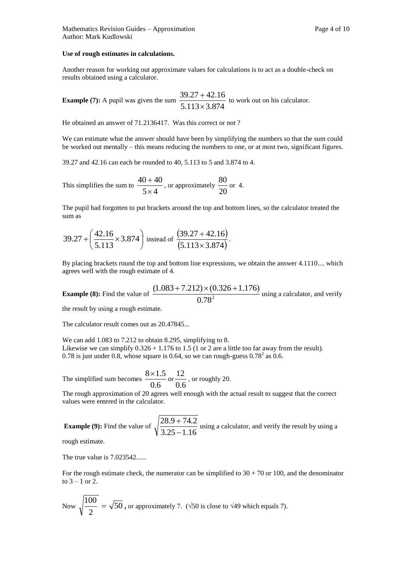### **Use of rough estimates in calculations.**

Another reason for working out approximate values for calculations is to act as a double-check on results obtained using a calculator.

**Example (7):** A pupil was given the sum  $\frac{5.113 \times 3.874}{5.113 \times 3.874}$  $39.27 + 42.16$  $\times$  $\frac{+42.16}{-2.25}$  to work out on his calculator.

He obtained an answer of 71.2136417. Was this correct or not ?

We can estimate what the answer should have been by simplifying the numbers so that the sum could be worked out mentally – this means reducing the numbers to one, or at most two, significant figures.

39.27 and 42.16 can each be rounded to 40, 5.113 to 5 and 3.874 to 4.

This simplifies the sum to  $\frac{1}{5 \times 4}$  $40 + 40$  $\times$  $\frac{+40}{\times 4}$ , or approximately  $\frac{80}{20}$  $\frac{80}{20}$  or 4.

The pupil had forgotten to put brackets around the top and bottom lines, so the calculator treated the sum as

$$
39.27 + \left(\frac{42.16}{5.113} \times 3.874\right) \text{ instead of } \frac{(39.27 + 42.16)}{(5.113 \times 3.874)}.
$$

By placing brackets round the top and bottom line expressions, we obtain the answer 4.1110.... which agrees well with the rough estimate of 4.

**Example (8):** Find the value of 
$$
\frac{(1.083 + 7.212) \times (0.326 + 1.176)}{0.78^2}
$$
 using a calculator, and verify

the result by using a rough estimate.

The calculator result comes out as 20.47845...

We can add 1.083 to 7.212 to obtain 8.295, simplifying to 8. Likewise we can simplify  $0.326 + 1.176$  to 1.5 (1 or 2 are a little too far away from the result). 0.78 is just under 0.8, whose square is 0.64, so we can rough-guess  $0.78^2$  as 0.6.

The simplified sum becomes  $\frac{3441}{0.6}$  $\frac{8 \times 1.5}{0.6}$  or  $\frac{12}{0.6}$  $\frac{12}{2}$ , or roughly 20.

The rough approximation of 20 agrees well enough with the actual result to suggest that the correct values were entered in the calculator.

**Example (9):** Find the value of  $\sqrt{\frac{255 - 1.16}{3.25 - 1.16}}$  $28.9 + 74.2$  $\overline{a}$  $+74.2$  using a calculator, and verify the result by using a

rough estimate.

The true value is 7.023542......

For the rough estimate check, the numerator can be simplified to  $30 + 70$  or 100, and the denominator to  $3 - 1$  or  $2$ .

Now 
$$
\sqrt{\frac{100}{2}} = \sqrt{50}
$$
, or approximately 7. ( $\sqrt{50}$  is close to  $\sqrt{49}$  which equals 7).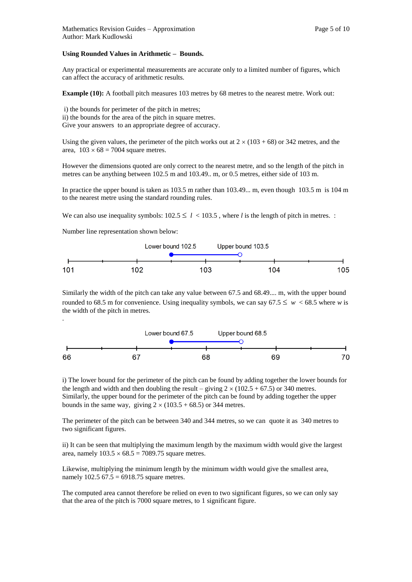#### **Using Rounded Values in Arithmetic – Bounds.**

Any practical or experimental measurements are accurate only to a limited number of figures, which can affect the accuracy of arithmetic results.

**Example (10):** A football pitch measures 103 metres by 68 metres to the nearest metre. Work out:

i) the bounds for perimeter of the pitch in metres; ii) the bounds for the area of the pitch in square metres. Give your answers to an appropriate degree of accuracy.

Using the given values, the perimeter of the pitch works out at  $2 \times (103 + 68)$  or 342 metres, and the area,  $103 \times 68 = 7004$  square metres.

However the dimensions quoted are only correct to the nearest metre, and so the length of the pitch in metres can be anything between 102.5 m and 103.49.. m, or 0.5 metres, either side of 103 m.

In practice the upper bound is taken as 103.5 m rather than 103.49... m, even though 103.5 m is 104 m to the nearest metre using the standard rounding rules.

We can also use inequality symbols:  $102.5 \le l < 103.5$ , where *l* is the length of pitch in metres. :

Number line representation shown below:



Similarly the width of the pitch can take any value between 67.5 and 68.49.... m, with the upper bound rounded to 68.5 m for convenience. Using inequality symbols, we can say  $67.5 \leq w < 68.5$  where *w* is the width of the pitch in metres. .



i) The lower bound for the perimeter of the pitch can be found by adding together the lower bounds for the length and width and then doubling the result – giving  $2 \times (102.5 + 67.5)$  or 340 metres. Similarly, the upper bound for the perimeter of the pitch can be found by adding together the upper bounds in the same way, giving  $2 \times (103.5 + 68.5)$  or 344 metres.

The perimeter of the pitch can be between 340 and 344 metres, so we can quote it as 340 metres to two significant figures.

ii) It can be seen that multiplying the maximum length by the maximum width would give the largest area, namely  $103.5 \times 68.5 = 7089.75$  square metres.

Likewise, multiplying the minimum length by the minimum width would give the smallest area, namely  $102.5\,67.5 = 6918.75$  square metres.

The computed area cannot therefore be relied on even to two significant figures, so we can only say that the area of the pitch is 7000 square metres, to 1 significant figure.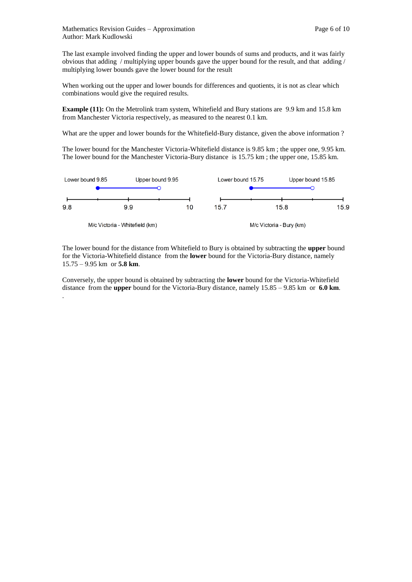The last example involved finding the upper and lower bounds of sums and products, and it was fairly obvious that adding / multiplying upper bounds gave the upper bound for the result, and that adding / multiplying lower bounds gave the lower bound for the result

When working out the upper and lower bounds for differences and quotients, it is not as clear which combinations would give the required results.

**Example (11):** On the Metrolink tram system, Whitefield and Bury stations are 9.9 km and 15.8 km from Manchester Victoria respectively, as measured to the nearest 0.1 km.

What are the upper and lower bounds for the Whitefield-Bury distance, given the above information ?

The lower bound for the Manchester Victoria-Whitefield distance is 9.85 km ; the upper one, 9.95 km. The lower bound for the Manchester Victoria-Bury distance is 15.75 km ; the upper one, 15.85 km.



The lower bound for the distance from Whitefield to Bury is obtained by subtracting the **upper** bound for the Victoria-Whitefield distance from the **lower** bound for the Victoria-Bury distance, namely 15.75 – 9.95 km or **5.8 km**.

Conversely, the upper bound is obtained by subtracting the **lower** bound for the Victoria-Whitefield distance from the **upper** bound for the Victoria-Bury distance, namely 15.85 – 9.85 km or **6.0 km**. .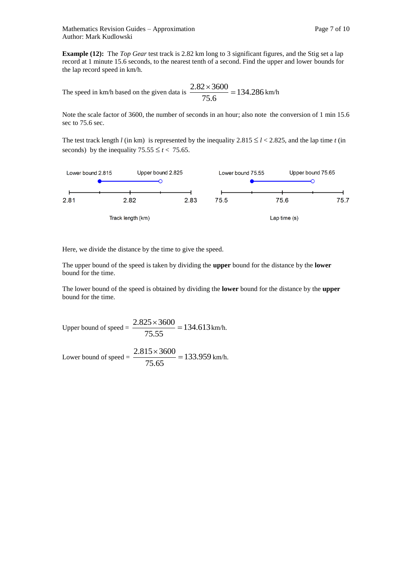**Example (12):** The *Top Gear* test track is 2.82 km long to 3 significant figures, and the Stig set a lap record at 1 minute 15.6 seconds, to the nearest tenth of a second. Find the upper and lower bounds for the lap record speed in km/h.

The speed in km/h based on the given data is  $\frac{2.32 \times 3000}{25.5} = 134.286$ 75.6  $\frac{2.82 \times 3600}{25.00} = 134.286 \text{ km/h}$ 

Note the scale factor of 3600, the number of seconds in an hour; also note the conversion of 1 min 15.6 sec to 75.6 sec.

The test track length *l* (in km) is represented by the inequality  $2.815 \le l < 2.825$ , and the lap time *t* (in seconds) by the inequality  $75.55 \le t < 75.65$ .



Here, we divide the distance by the time to give the speed.

The upper bound of the speed is taken by dividing the **upper** bound for the distance by the **lower**  bound for the time.

The lower bound of the speed is obtained by dividing the **lower** bound for the distance by the **upper**  bound for the time.

Upper bound of speed =  $\frac{2.823 \times 3000}{7}$  = 134.613 75.55  $\frac{2.825 \times 3600}{75.00 \times 10^{10}} = 134.613 \text{ km/h}.$ 

Lower bound of speed =  $\frac{2.013 \times 5000}{75.05}$  = 133.959 75.65  $\frac{2.815 \times 3600}{75.55 \times 10^{-10}} = 133.959 \text{ km/h}.$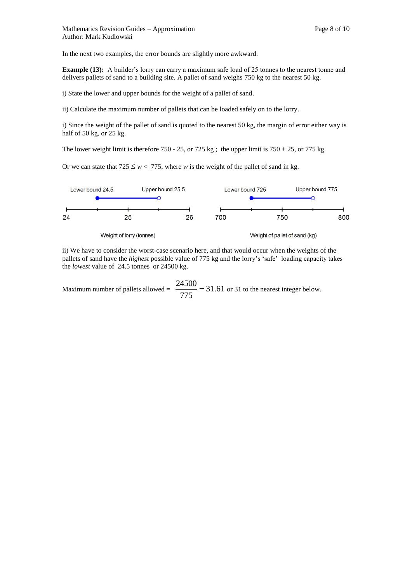In the next two examples, the error bounds are slightly more awkward.

**Example (13):** A builder's lorry can carry a maximum safe load of 25 tonnes to the nearest tonne and delivers pallets of sand to a building site. A pallet of sand weighs 750 kg to the nearest 50 kg.

i) State the lower and upper bounds for the weight of a pallet of sand.

ii) Calculate the maximum number of pallets that can be loaded safely on to the lorry.

i) Since the weight of the pallet of sand is quoted to the nearest 50 kg, the margin of error either way is half of 50 kg, or 25 kg.

The lower weight limit is therefore 750 - 25, or 725 kg; the upper limit is  $750 + 25$ , or 775 kg.

Or we can state that  $725 \leq w < 775$ , where *w* is the weight of the pallet of sand in kg.



ii) We have to consider the worst-case scenario here, and that would occur when the weights of the pallets of sand have the *highest* possible value of 775 kg and the lorry's 'safe' loading capacity takes the *lowest* value of 24.5 tonnes or 24500 kg.

Maximum number of pallets allowed =  $\frac{24500}{255}$  = 31.61 775  $\frac{24500}{27500}$  = 31.61 or 31 to the nearest integer below.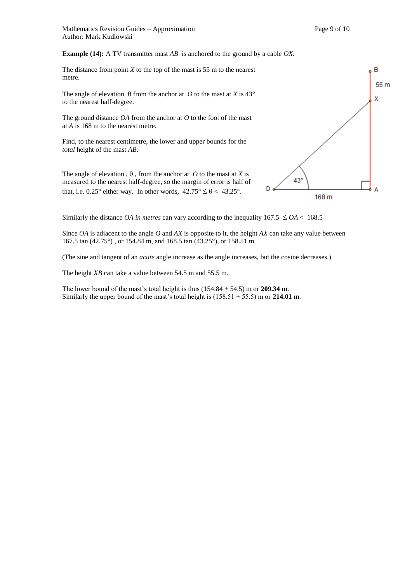**Example (14):** A TV transmitter mast *AB* is anchored to the ground by a cable *OX*.

The distance from point  $X$  to the top of the mast is 55 m to the nearest metre.

The angle of elevation  $\theta$  from the anchor at *O* to the mast at *X* is 43° to the nearest half-degree.

The ground distance *OA* from the anchor at *O* to the foot of the mast at *A* is 168 m to the nearest metre.

Find, to the nearest centimetre, the lower and upper bounds for the *total* height of the mast *AB*.

The angle of elevation ,  $\theta$ , from the anchor at *O* to the mast at *X* is measured to the nearest half-degree, so the margin of error is half of that, i.e. 0.25° either way. In other words,  $42.75^{\circ} \le \theta < 43.25^{\circ}$ .



Similarly the distance *OA in metres* can vary according to the inequality  $167.5 \leq OA < 168.5$ 

Since *OA* is adjacent to the angle *O* and *AX* is opposite to it, the height *AX* can take any value between 167.5 tan (42.75°) , or 154.84 m, and 168.5 tan (43.25°), or 158.51 m.

(The sine and tangent of an *acute* angle increase as the angle increases, but the cosine decreases.)

The height *XB* can take a value between 54.5 m and 55.5 m.

The lower bound of the mast's total height is thus  $(154.84 + 54.5)$  m or **209.34 m**. Similarly the upper bound of the mast's total height is (158.51 + 55.5) m or **214.01 m**.